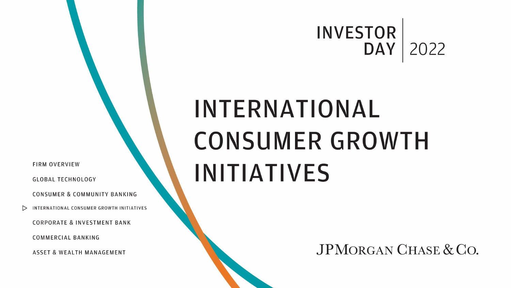# **INVESTOR** DAY |

# INTERNATIONAL **CONSUMER GROWTH INITIATIVES**

JPMORGAN CHASE & CO.

**FIRM OVERVIEW** 

**GLOBAL TECHNOLOGY** 

CONSUMER & COMMUNITY BANKING

INTERNATIONAL CONSUMER GROWTH INITIATIVES  $\triangleright$ 

**CORPORATE & INVESTMENT BANK** 

**COMMERCIAL BANKING** 

**ASSET & WEALTH MANAGEMENT** 

# 2022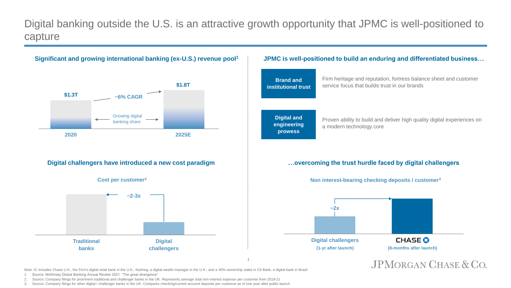# Digital banking outside the U.S. is an attractive growth opportunity that JPMC is well-positioned to capture

Note: IC includes Chase U.K., the Firm's digital retail bank in the U.K.; Nutmeg, a digital wealth manager in the U.K.; and a 40% ownership stake in C6 Bank, a digital bank in Brazil 1. Source: McKinsey Global Banking Annual Review 2021: "The great divergence"

2. Source: Company filings for prominent traditional and challenger banks in the UK. Represents average total non-interest expense per customer from 2019-21

3. Source: Company filings for other digital / challenger banks in the UK. Compares checking/current account deposits per customer as of one year after public launch

## JPMORGAN CHASE & CO.

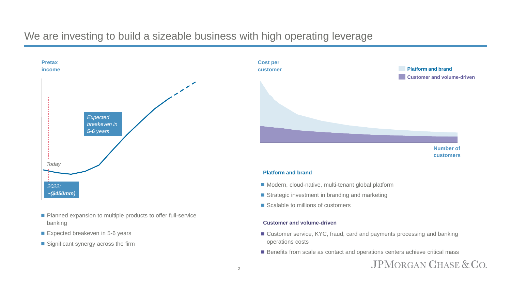



**Number of customers**

JPMORGAN CHASE & CO.

## **Platform and brand**

- Modern, cloud-native, multi-tenant global platform
- Strategic investment in branding and marketing
- Scalable to millions of customers

## **Customer and volume-driven**

- Customer service, KYC, fraud, card and payments processing and banking operations costs
- Benefits from scale as contact and operations centers achieve critical mass

## We are investing to build a sizeable business with high operating leverage



- Planned expansion to multiple products to offer full-service banking
- Expected breakeven in 5-6 years
- Significant synergy across the firm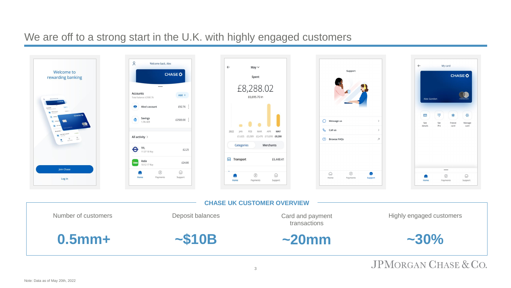## We are off to a strong start in the U.K. with highly engaged customers

# **JPMORGAN CHASE & CO.**



3

## Highly engaged customers